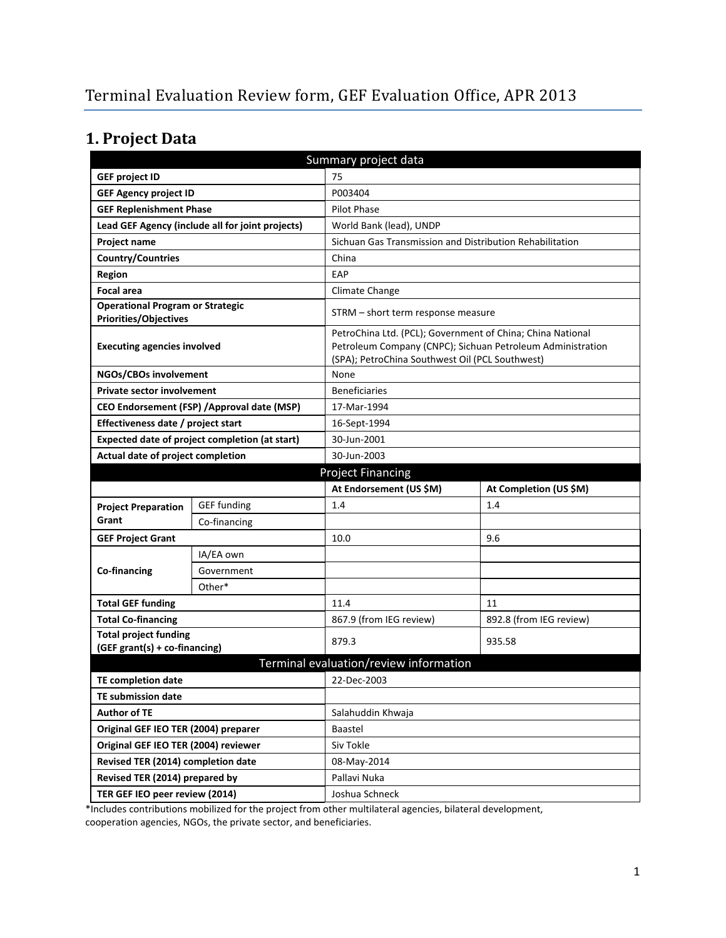# **1. Project Data**

| Summary project data                                                    |                                                |                                                                                                               |                                                            |  |
|-------------------------------------------------------------------------|------------------------------------------------|---------------------------------------------------------------------------------------------------------------|------------------------------------------------------------|--|
| <b>GEF project ID</b>                                                   |                                                | 75                                                                                                            |                                                            |  |
| <b>GEF Agency project ID</b>                                            |                                                | P003404                                                                                                       |                                                            |  |
| <b>GEF Replenishment Phase</b>                                          |                                                | <b>Pilot Phase</b>                                                                                            |                                                            |  |
| Lead GEF Agency (include all for joint projects)                        |                                                | World Bank (lead), UNDP                                                                                       |                                                            |  |
| Project name                                                            |                                                | Sichuan Gas Transmission and Distribution Rehabilitation                                                      |                                                            |  |
| <b>Country/Countries</b>                                                |                                                | China                                                                                                         |                                                            |  |
| Region                                                                  |                                                | EAP                                                                                                           |                                                            |  |
| <b>Focal area</b>                                                       |                                                | Climate Change                                                                                                |                                                            |  |
| <b>Operational Program or Strategic</b><br><b>Priorities/Objectives</b> |                                                | STRM - short term response measure                                                                            |                                                            |  |
| <b>Executing agencies involved</b>                                      |                                                | PetroChina Ltd. (PCL); Government of China; China National<br>(SPA); PetroChina Southwest Oil (PCL Southwest) | Petroleum Company (CNPC); Sichuan Petroleum Administration |  |
| NGOs/CBOs involvement                                                   |                                                | None                                                                                                          |                                                            |  |
| <b>Private sector involvement</b>                                       |                                                | <b>Beneficiaries</b>                                                                                          |                                                            |  |
|                                                                         | CEO Endorsement (FSP) / Approval date (MSP)    | 17-Mar-1994                                                                                                   |                                                            |  |
| Effectiveness date / project start                                      |                                                | 16-Sept-1994                                                                                                  |                                                            |  |
|                                                                         | Expected date of project completion (at start) | 30-Jun-2001                                                                                                   |                                                            |  |
| Actual date of project completion                                       |                                                | 30-Jun-2003                                                                                                   |                                                            |  |
|                                                                         |                                                | <b>Project Financing</b>                                                                                      |                                                            |  |
|                                                                         |                                                | At Endorsement (US \$M)                                                                                       | At Completion (US \$M)                                     |  |
|                                                                         |                                                |                                                                                                               |                                                            |  |
| <b>Project Preparation</b>                                              | <b>GEF funding</b>                             | 1.4                                                                                                           | 1.4                                                        |  |
| Grant                                                                   | Co-financing                                   |                                                                                                               |                                                            |  |
| <b>GEF Project Grant</b>                                                |                                                | 10.0                                                                                                          | 9.6                                                        |  |
|                                                                         | IA/EA own                                      |                                                                                                               |                                                            |  |
| Co-financing                                                            | Government                                     |                                                                                                               |                                                            |  |
|                                                                         | Other*                                         |                                                                                                               |                                                            |  |
| <b>Total GEF funding</b>                                                |                                                | 11.4                                                                                                          | 11                                                         |  |
| <b>Total Co-financing</b>                                               |                                                | 867.9 (from IEG review)                                                                                       | 892.8 (from IEG review)                                    |  |
| <b>Total project funding</b><br>(GEF grant(s) + co-financing)           |                                                | 879.3                                                                                                         | 935.58                                                     |  |
|                                                                         |                                                | Terminal evaluation/review information                                                                        |                                                            |  |
| TE completion date                                                      |                                                | 22-Dec-2003                                                                                                   |                                                            |  |
| <b>TE submission date</b>                                               |                                                |                                                                                                               |                                                            |  |
| <b>Author of TE</b>                                                     |                                                | Salahuddin Khwaja                                                                                             |                                                            |  |
| Original GEF IEO TER (2004) preparer                                    |                                                | Baastel                                                                                                       |                                                            |  |
| Original GEF IEO TER (2004) reviewer                                    |                                                | Siv Tokle                                                                                                     |                                                            |  |
| Revised TER (2014) completion date                                      |                                                | 08-May-2014                                                                                                   |                                                            |  |
| Revised TER (2014) prepared by                                          |                                                | Pallavi Nuka                                                                                                  |                                                            |  |

\*Includes contributions mobilized for the project from other multilateral agencies, bilateral development, cooperation agencies, NGOs, the private sector, and beneficiaries.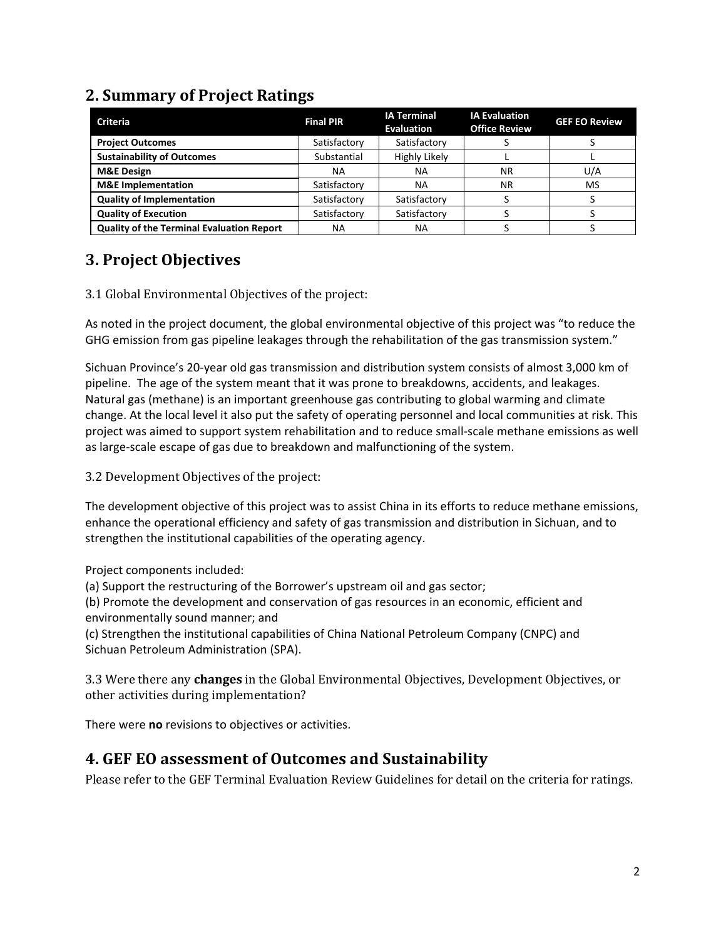### **2. Summary of Project Ratings**

| <b>Criteria</b>                                  | <b>Final PIR</b> | <b>IA Terminal</b><br><b>Evaluation</b> | <b>IA Evaluation</b><br><b>Office Review</b> | <b>GEF EO Review</b> |
|--------------------------------------------------|------------------|-----------------------------------------|----------------------------------------------|----------------------|
| <b>Project Outcomes</b>                          | Satisfactory     | Satisfactory                            |                                              |                      |
| <b>Sustainability of Outcomes</b>                | Substantial      | Highly Likely                           |                                              |                      |
| <b>M&amp;E Design</b>                            | NА               | ΝA                                      | <b>NR</b>                                    | U/A                  |
| <b>M&amp;E</b> Implementation                    | Satisfactory     | ΝA                                      | <b>NR</b>                                    | <b>MS</b>            |
| <b>Quality of Implementation</b>                 | Satisfactory     | Satisfactory                            |                                              |                      |
| <b>Quality of Execution</b>                      | Satisfactory     | Satisfactory                            |                                              |                      |
| <b>Quality of the Terminal Evaluation Report</b> | NА               | ΝA                                      |                                              |                      |

### **3. Project Objectives**

#### 3.1 Global Environmental Objectives of the project:

As noted in the project document, the global environmental objective of this project was "to reduce the GHG emission from gas pipeline leakages through the rehabilitation of the gas transmission system."

Sichuan Province's 20-year old gas transmission and distribution system consists of almost 3,000 km of pipeline. The age of the system meant that it was prone to breakdowns, accidents, and leakages. Natural gas (methane) is an important greenhouse gas contributing to global warming and climate change. At the local level it also put the safety of operating personnel and local communities at risk. This project was aimed to support system rehabilitation and to reduce small-scale methane emissions as well as large-scale escape of gas due to breakdown and malfunctioning of the system.

3.2 Development Objectives of the project:

The development objective of this project was to assist China in its efforts to reduce methane emissions, enhance the operational efficiency and safety of gas transmission and distribution in Sichuan, and to strengthen the institutional capabilities of the operating agency.

Project components included:

(a) Support the restructuring of the Borrower's upstream oil and gas sector;

(b) Promote the development and conservation of gas resources in an economic, efficient and environmentally sound manner; and

(c) Strengthen the institutional capabilities of China National Petroleum Company (CNPC) and Sichuan Petroleum Administration (SPA).

3.3 Were there any **changes** in the Global Environmental Objectives, Development Objectives, or other activities during implementation?

There were **no** revisions to objectives or activities.

### **4. GEF EO assessment of Outcomes and Sustainability**

Please refer to the GEF Terminal Evaluation Review Guidelines for detail on the criteria for ratings.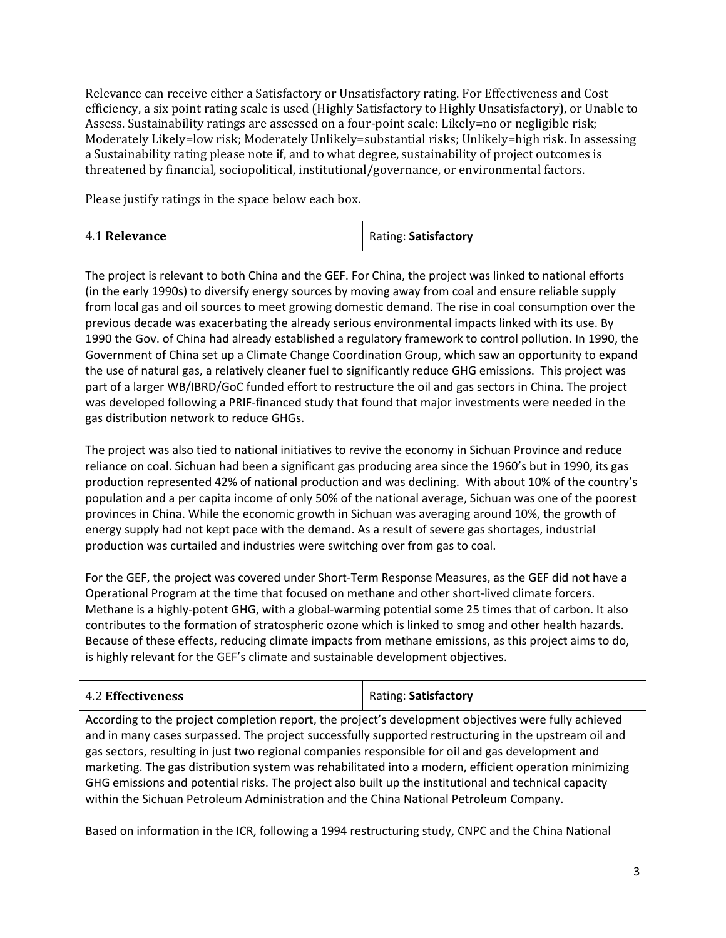Relevance can receive either a Satisfactory or Unsatisfactory rating. For Effectiveness and Cost efficiency, a six point rating scale is used (Highly Satisfactory to Highly Unsatisfactory), or Unable to Assess. Sustainability ratings are assessed on a four-point scale: Likely=no or negligible risk; Moderately Likely=low risk; Moderately Unlikely=substantial risks; Unlikely=high risk. In assessing a Sustainability rating please note if, and to what degree, sustainability of project outcomes is threatened by financial, sociopolitical, institutional/governance, or environmental factors.

Please justify ratings in the space below each box.

| <b>4.1 Relevance</b> | Rating: Satisfactory |
|----------------------|----------------------|
|----------------------|----------------------|

The project is relevant to both China and the GEF. For China, the project was linked to national efforts (in the early 1990s) to diversify energy sources by moving away from coal and ensure reliable supply from local gas and oil sources to meet growing domestic demand. The rise in coal consumption over the previous decade was exacerbating the already serious environmental impacts linked with its use. By 1990 the Gov. of China had already established a regulatory framework to control pollution. In 1990, the Government of China set up a Climate Change Coordination Group, which saw an opportunity to expand the use of natural gas, a relatively cleaner fuel to significantly reduce GHG emissions. This project was part of a larger WB/IBRD/GoC funded effort to restructure the oil and gas sectors in China. The project was developed following a PRIF-financed study that found that major investments were needed in the gas distribution network to reduce GHGs.

The project was also tied to national initiatives to revive the economy in Sichuan Province and reduce reliance on coal. Sichuan had been a significant gas producing area since the 1960's but in 1990, its gas production represented 42% of national production and was declining. With about 10% of the country's population and a per capita income of only 50% of the national average, Sichuan was one of the poorest provinces in China. While the economic growth in Sichuan was averaging around 10%, the growth of energy supply had not kept pace with the demand. As a result of severe gas shortages, industrial production was curtailed and industries were switching over from gas to coal.

For the GEF, the project was covered under Short-Term Response Measures, as the GEF did not have a Operational Program at the time that focused on methane and other short-lived climate forcers. Methane is a highly-potent GHG, with a global-warming potential some 25 times that of carbon. It also contributes to the formation of stratospheric ozone which is linked to smog and other health hazards. Because of these effects, reducing climate impacts from methane emissions, as this project aims to do, is highly relevant for the GEF's climate and sustainable development objectives.

| <b>4.2 Effectiveness</b> | Rating: Satisfactory |
|--------------------------|----------------------|
|                          |                      |

According to the project completion report, the project's development objectives were fully achieved and in many cases surpassed. The project successfully supported restructuring in the upstream oil and gas sectors, resulting in just two regional companies responsible for oil and gas development and marketing. The gas distribution system was rehabilitated into a modern, efficient operation minimizing GHG emissions and potential risks. The project also built up the institutional and technical capacity within the Sichuan Petroleum Administration and the China National Petroleum Company.

Based on information in the ICR, following a 1994 restructuring study, CNPC and the China National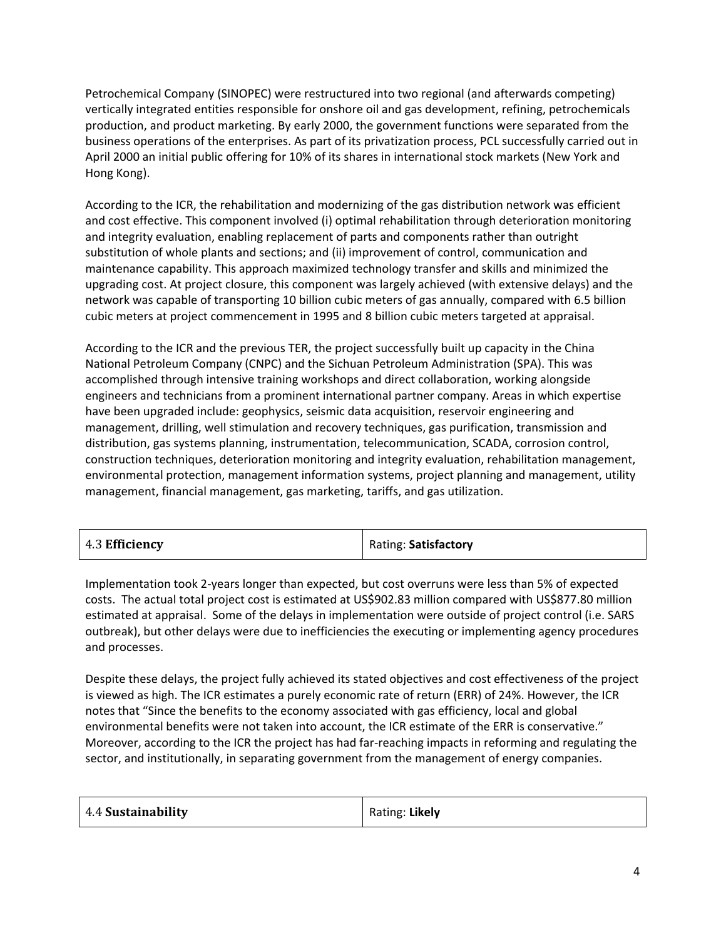Petrochemical Company (SINOPEC) were restructured into two regional (and afterwards competing) vertically integrated entities responsible for onshore oil and gas development, refining, petrochemicals production, and product marketing. By early 2000, the government functions were separated from the business operations of the enterprises. As part of its privatization process, PCL successfully carried out in April 2000 an initial public offering for 10% of its shares in international stock markets (New York and Hong Kong).

According to the ICR, the rehabilitation and modernizing of the gas distribution network was efficient and cost effective. This component involved (i) optimal rehabilitation through deterioration monitoring and integrity evaluation, enabling replacement of parts and components rather than outright substitution of whole plants and sections; and (ii) improvement of control, communication and maintenance capability. This approach maximized technology transfer and skills and minimized the upgrading cost. At project closure, this component was largely achieved (with extensive delays) and the network was capable of transporting 10 billion cubic meters of gas annually, compared with 6.5 billion cubic meters at project commencement in 1995 and 8 billion cubic meters targeted at appraisal.

According to the ICR and the previous TER, the project successfully built up capacity in the China National Petroleum Company (CNPC) and the Sichuan Petroleum Administration (SPA). This was accomplished through intensive training workshops and direct collaboration, working alongside engineers and technicians from a prominent international partner company. Areas in which expertise have been upgraded include: geophysics, seismic data acquisition, reservoir engineering and management, drilling, well stimulation and recovery techniques, gas purification, transmission and distribution, gas systems planning, instrumentation, telecommunication, SCADA, corrosion control, construction techniques, deterioration monitoring and integrity evaluation, rehabilitation management, environmental protection, management information systems, project planning and management, utility management, financial management, gas marketing, tariffs, and gas utilization.

| 4.3 Efficiency | Rating: Satisfactory |
|----------------|----------------------|
|----------------|----------------------|

Implementation took 2-years longer than expected, but cost overruns were less than 5% of expected costs. The actual total project cost is estimated at US\$902.83 million compared with US\$877.80 million estimated at appraisal. Some of the delays in implementation were outside of project control (i.e. SARS outbreak), but other delays were due to inefficiencies the executing or implementing agency procedures and processes.

Despite these delays, the project fully achieved its stated objectives and cost effectiveness of the project is viewed as high. The ICR estimates a purely economic rate of return (ERR) of 24%. However, the ICR notes that "Since the benefits to the economy associated with gas efficiency, local and global environmental benefits were not taken into account, the ICR estimate of the ERR is conservative." Moreover, according to the ICR the project has had far-reaching impacts in reforming and regulating the sector, and institutionally, in separating government from the management of energy companies.

| 4.4 Sustainability | Rating: Likely |
|--------------------|----------------|
|                    |                |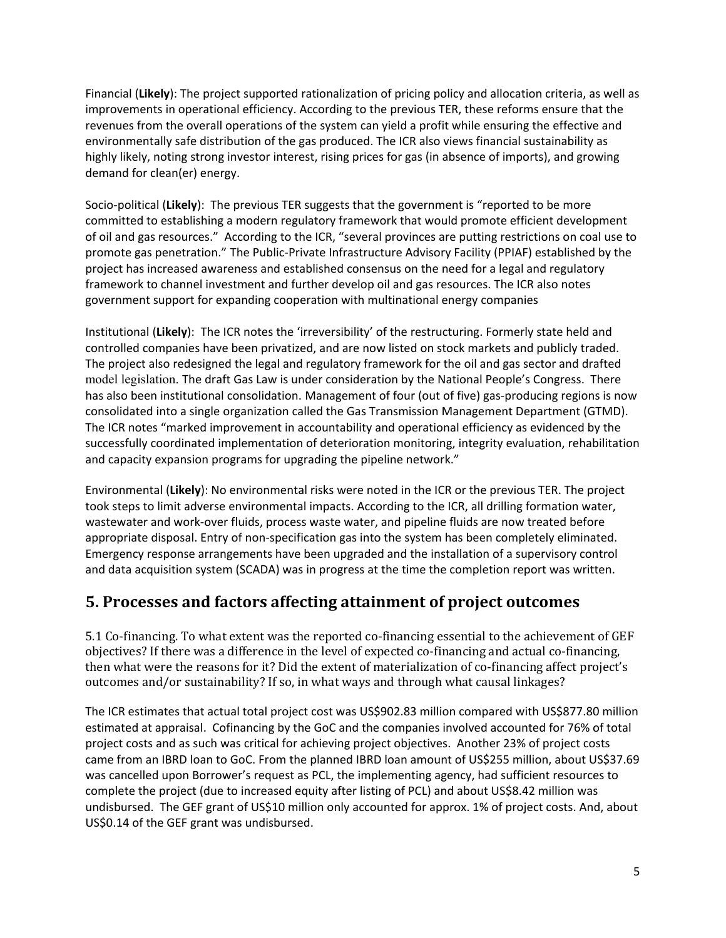Financial (**Likely**): The project supported rationalization of pricing policy and allocation criteria, as well as improvements in operational efficiency. According to the previous TER, these reforms ensure that the revenues from the overall operations of the system can yield a profit while ensuring the effective and environmentally safe distribution of the gas produced. The ICR also views financial sustainability as highly likely, noting strong investor interest, rising prices for gas (in absence of imports), and growing demand for clean(er) energy.

Socio-political (**Likely**): The previous TER suggests that the government is "reported to be more committed to establishing a modern regulatory framework that would promote efficient development of oil and gas resources." According to the ICR, "several provinces are putting restrictions on coal use to promote gas penetration." The Public-Private Infrastructure Advisory Facility (PPIAF) established by the project has increased awareness and established consensus on the need for a legal and regulatory framework to channel investment and further develop oil and gas resources. The ICR also notes government support for expanding cooperation with multinational energy companies

Institutional (**Likely**): The ICR notes the 'irreversibility' of the restructuring. Formerly state held and controlled companies have been privatized, and are now listed on stock markets and publicly traded. The project also redesigned the legal and regulatory framework for the oil and gas sector and drafted model legislation. The draft Gas Law is under consideration by the National People's Congress. There has also been institutional consolidation. Management of four (out of five) gas-producing regions is now consolidated into a single organization called the Gas Transmission Management Department (GTMD). The ICR notes "marked improvement in accountability and operational efficiency as evidenced by the successfully coordinated implementation of deterioration monitoring, integrity evaluation, rehabilitation and capacity expansion programs for upgrading the pipeline network."

Environmental (**Likely**): No environmental risks were noted in the ICR or the previous TER. The project took steps to limit adverse environmental impacts. According to the ICR, all drilling formation water, wastewater and work-over fluids, process waste water, and pipeline fluids are now treated before appropriate disposal. Entry of non-specification gas into the system has been completely eliminated. Emergency response arrangements have been upgraded and the installation of a supervisory control and data acquisition system (SCADA) was in progress at the time the completion report was written.

### **5. Processes and factors affecting attainment of project outcomes**

5.1 Co-financing. To what extent was the reported co-financing essential to the achievement of GEF objectives? If there was a difference in the level of expected co-financing and actual co-financing, then what were the reasons for it? Did the extent of materialization of co-financing affect project's outcomes and/or sustainability? If so, in what ways and through what causal linkages?

The ICR estimates that actual total project cost was US\$902.83 million compared with US\$877.80 million estimated at appraisal. Cofinancing by the GoC and the companies involved accounted for 76% of total project costs and as such was critical for achieving project objectives. Another 23% of project costs came from an IBRD loan to GoC. From the planned IBRD loan amount of US\$255 million, about US\$37.69 was cancelled upon Borrower's request as PCL, the implementing agency, had sufficient resources to complete the project (due to increased equity after listing of PCL) and about US\$8.42 million was undisbursed. The GEF grant of US\$10 million only accounted for approx. 1% of project costs. And, about US\$0.14 of the GEF grant was undisbursed.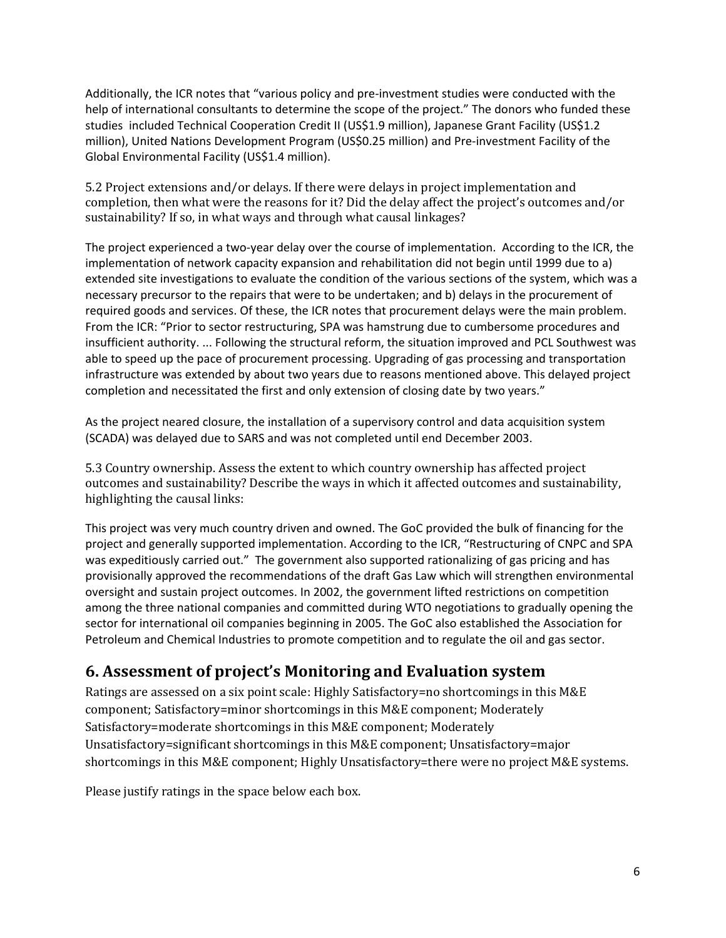Additionally, the ICR notes that "various policy and pre-investment studies were conducted with the help of international consultants to determine the scope of the project." The donors who funded these studies included Technical Cooperation Credit II (US\$1.9 million), Japanese Grant Facility (US\$1.2 million), United Nations Development Program (US\$0.25 million) and Pre-investment Facility of the Global Environmental Facility (US\$1.4 million).

5.2 Project extensions and/or delays. If there were delays in project implementation and completion, then what were the reasons for it? Did the delay affect the project's outcomes and/or sustainability? If so, in what ways and through what causal linkages?

The project experienced a two-year delay over the course of implementation. According to the ICR, the implementation of network capacity expansion and rehabilitation did not begin until 1999 due to a) extended site investigations to evaluate the condition of the various sections of the system, which was a necessary precursor to the repairs that were to be undertaken; and b) delays in the procurement of required goods and services. Of these, the ICR notes that procurement delays were the main problem. From the ICR: "Prior to sector restructuring, SPA was hamstrung due to cumbersome procedures and insufficient authority. ... Following the structural reform, the situation improved and PCL Southwest was able to speed up the pace of procurement processing. Upgrading of gas processing and transportation infrastructure was extended by about two years due to reasons mentioned above. This delayed project completion and necessitated the first and only extension of closing date by two years."

As the project neared closure, the installation of a supervisory control and data acquisition system (SCADA) was delayed due to SARS and was not completed until end December 2003.

5.3 Country ownership. Assess the extent to which country ownership has affected project outcomes and sustainability? Describe the ways in which it affected outcomes and sustainability, highlighting the causal links:

This project was very much country driven and owned. The GoC provided the bulk of financing for the project and generally supported implementation. According to the ICR, "Restructuring of CNPC and SPA was expeditiously carried out." The government also supported rationalizing of gas pricing and has provisionally approved the recommendations of the draft Gas Law which will strengthen environmental oversight and sustain project outcomes. In 2002, the government lifted restrictions on competition among the three national companies and committed during WTO negotiations to gradually opening the sector for international oil companies beginning in 2005. The GoC also established the Association for Petroleum and Chemical Industries to promote competition and to regulate the oil and gas sector.

## **6. Assessment of project's Monitoring and Evaluation system**

Ratings are assessed on a six point scale: Highly Satisfactory=no shortcomings in this M&E component; Satisfactory=minor shortcomings in this M&E component; Moderately Satisfactory=moderate shortcomings in this M&E component; Moderately Unsatisfactory=significant shortcomings in this M&E component; Unsatisfactory=major shortcomings in this M&E component; Highly Unsatisfactory=there were no project M&E systems.

Please justify ratings in the space below each box.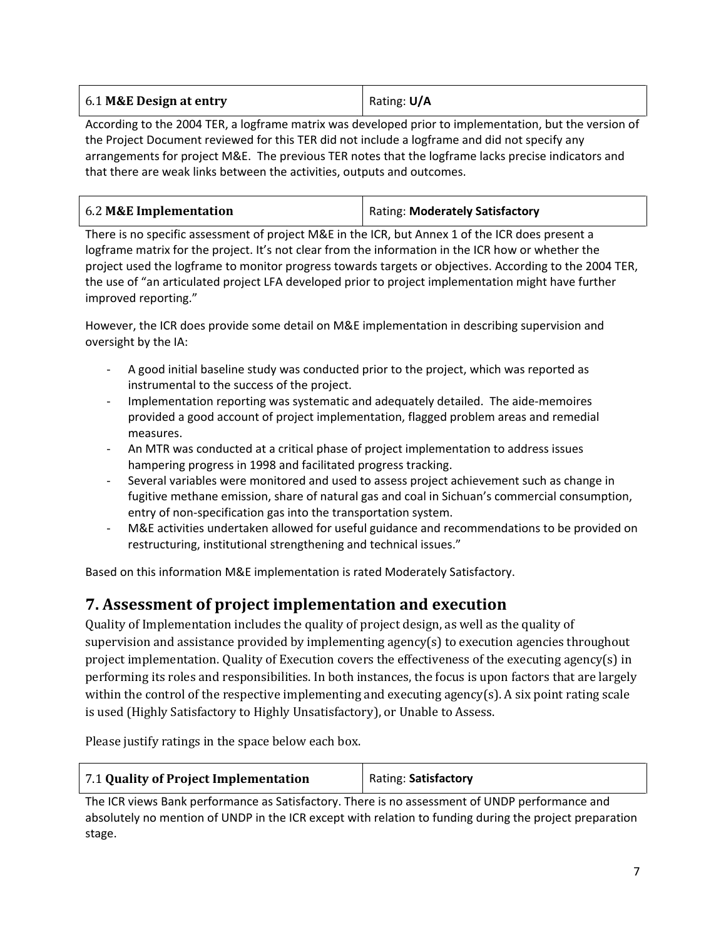| 6.1 M&E Design at entry | Rating: U/A |
|-------------------------|-------------|
|                         |             |

According to the 2004 TER, a logframe matrix was developed prior to implementation, but the version of the Project Document reviewed for this TER did not include a logframe and did not specify any arrangements for project M&E. The previous TER notes that the logframe lacks precise indicators and that there are weak links between the activities, outputs and outcomes.

| 6.2 M&E Implementation | Rating: Moderately Satisfactory |
|------------------------|---------------------------------|
|------------------------|---------------------------------|

There is no specific assessment of project M&E in the ICR, but Annex 1 of the ICR does present a logframe matrix for the project. It's not clear from the information in the ICR how or whether the project used the logframe to monitor progress towards targets or objectives. According to the 2004 TER, the use of "an articulated project LFA developed prior to project implementation might have further improved reporting."

However, the ICR does provide some detail on M&E implementation in describing supervision and oversight by the IA:

- A good initial baseline study was conducted prior to the project, which was reported as instrumental to the success of the project.
- Implementation reporting was systematic and adequately detailed. The aide-memoires provided a good account of project implementation, flagged problem areas and remedial measures.
- An MTR was conducted at a critical phase of project implementation to address issues hampering progress in 1998 and facilitated progress tracking.
- Several variables were monitored and used to assess project achievement such as change in fugitive methane emission, share of natural gas and coal in Sichuan's commercial consumption, entry of non-specification gas into the transportation system.
- M&E activities undertaken allowed for useful guidance and recommendations to be provided on restructuring, institutional strengthening and technical issues."

Based on this information M&E implementation is rated Moderately Satisfactory.

### **7. Assessment of project implementation and execution**

Quality of Implementation includes the quality of project design, as well as the quality of supervision and assistance provided by implementing agency(s) to execution agencies throughout project implementation. Quality of Execution covers the effectiveness of the executing agency(s) in performing its roles and responsibilities. In both instances, the focus is upon factors that are largely within the control of the respective implementing and executing agency(s). A six point rating scale is used (Highly Satisfactory to Highly Unsatisfactory), or Unable to Assess.

Please justify ratings in the space below each box.

| 7.1 Quality of Project Implementation | Rating: Satisfactory |
|---------------------------------------|----------------------|
|---------------------------------------|----------------------|

The ICR views Bank performance as Satisfactory. There is no assessment of UNDP performance and absolutely no mention of UNDP in the ICR except with relation to funding during the project preparation stage.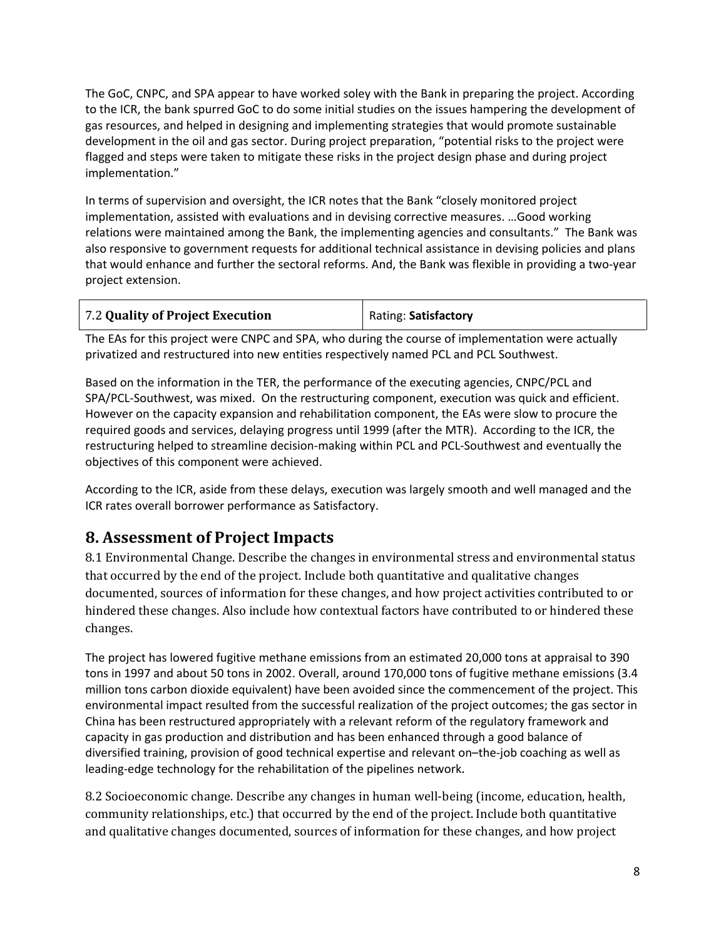The GoC, CNPC, and SPA appear to have worked soley with the Bank in preparing the project. According to the ICR, the bank spurred GoC to do some initial studies on the issues hampering the development of gas resources, and helped in designing and implementing strategies that would promote sustainable development in the oil and gas sector. During project preparation, "potential risks to the project were flagged and steps were taken to mitigate these risks in the project design phase and during project implementation."

In terms of supervision and oversight, the ICR notes that the Bank "closely monitored project implementation, assisted with evaluations and in devising corrective measures. …Good working relations were maintained among the Bank, the implementing agencies and consultants." The Bank was also responsive to government requests for additional technical assistance in devising policies and plans that would enhance and further the sectoral reforms. And, the Bank was flexible in providing a two-year project extension.

| 7.2 Quality of Project Execution | Rating: Satisfactory |
|----------------------------------|----------------------|
|                                  |                      |

The EAs for this project were CNPC and SPA, who during the course of implementation were actually privatized and restructured into new entities respectively named PCL and PCL Southwest.

Based on the information in the TER, the performance of the executing agencies, CNPC/PCL and SPA/PCL-Southwest, was mixed. On the restructuring component, execution was quick and efficient. However on the capacity expansion and rehabilitation component, the EAs were slow to procure the required goods and services, delaying progress until 1999 (after the MTR). According to the ICR, the restructuring helped to streamline decision-making within PCL and PCL-Southwest and eventually the objectives of this component were achieved.

According to the ICR, aside from these delays, execution was largely smooth and well managed and the ICR rates overall borrower performance as Satisfactory.

### **8. Assessment of Project Impacts**

8.1 Environmental Change. Describe the changes in environmental stress and environmental status that occurred by the end of the project. Include both quantitative and qualitative changes documented, sources of information for these changes, and how project activities contributed to or hindered these changes. Also include how contextual factors have contributed to or hindered these changes.

The project has lowered fugitive methane emissions from an estimated 20,000 tons at appraisal to 390 tons in 1997 and about 50 tons in 2002. Overall, around 170,000 tons of fugitive methane emissions (3.4 million tons carbon dioxide equivalent) have been avoided since the commencement of the project. This environmental impact resulted from the successful realization of the project outcomes; the gas sector in China has been restructured appropriately with a relevant reform of the regulatory framework and capacity in gas production and distribution and has been enhanced through a good balance of diversified training, provision of good technical expertise and relevant on–the-job coaching as well as leading-edge technology for the rehabilitation of the pipelines network**.**

8.2 Socioeconomic change. Describe any changes in human well-being (income, education, health, community relationships, etc.) that occurred by the end of the project. Include both quantitative and qualitative changes documented, sources of information for these changes, and how project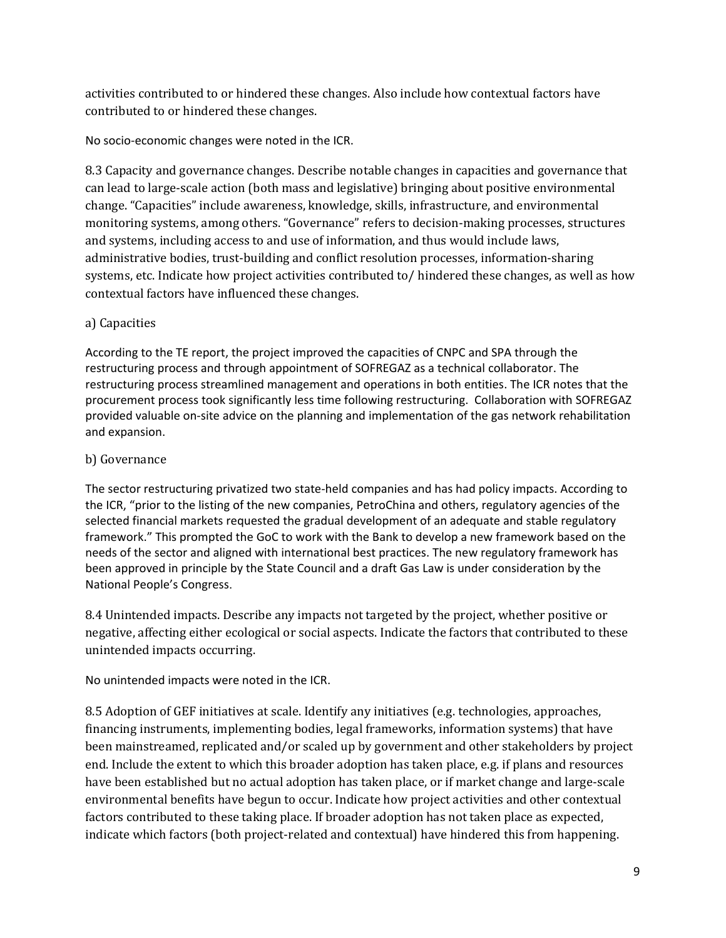activities contributed to or hindered these changes. Also include how contextual factors have contributed to or hindered these changes.

No socio-economic changes were noted in the ICR.

8.3 Capacity and governance changes. Describe notable changes in capacities and governance that can lead to large-scale action (both mass and legislative) bringing about positive environmental change. "Capacities" include awareness, knowledge, skills, infrastructure, and environmental monitoring systems, among others. "Governance" refers to decision-making processes, structures and systems, including access to and use of information, and thus would include laws, administrative bodies, trust-building and conflict resolution processes, information-sharing systems, etc. Indicate how project activities contributed to/ hindered these changes, as well as how contextual factors have influenced these changes.

#### a) Capacities

According to the TE report, the project improved the capacities of CNPC and SPA through the restructuring process and through appointment of SOFREGAZ as a technical collaborator. The restructuring process streamlined management and operations in both entities. The ICR notes that the procurement process took significantly less time following restructuring. Collaboration with SOFREGAZ provided valuable on-site advice on the planning and implementation of the gas network rehabilitation and expansion.

#### b) Governance

The sector restructuring privatized two state-held companies and has had policy impacts. According to the ICR, "prior to the listing of the new companies, PetroChina and others, regulatory agencies of the selected financial markets requested the gradual development of an adequate and stable regulatory framework." This prompted the GoC to work with the Bank to develop a new framework based on the needs of the sector and aligned with international best practices. The new regulatory framework has been approved in principle by the State Council and a draft Gas Law is under consideration by the National People's Congress.

8.4 Unintended impacts. Describe any impacts not targeted by the project, whether positive or negative, affecting either ecological or social aspects. Indicate the factors that contributed to these unintended impacts occurring.

No unintended impacts were noted in the ICR.

8.5 Adoption of GEF initiatives at scale. Identify any initiatives (e.g. technologies, approaches, financing instruments, implementing bodies, legal frameworks, information systems) that have been mainstreamed, replicated and/or scaled up by government and other stakeholders by project end. Include the extent to which this broader adoption has taken place, e.g. if plans and resources have been established but no actual adoption has taken place, or if market change and large-scale environmental benefits have begun to occur. Indicate how project activities and other contextual factors contributed to these taking place. If broader adoption has not taken place as expected, indicate which factors (both project-related and contextual) have hindered this from happening.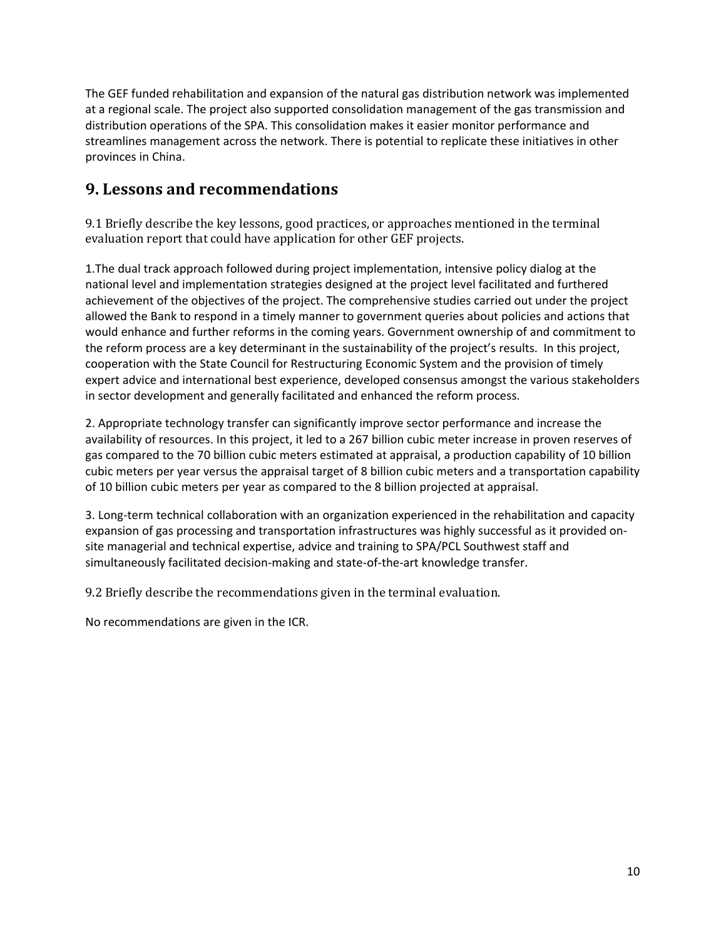The GEF funded rehabilitation and expansion of the natural gas distribution network was implemented at a regional scale. The project also supported consolidation management of the gas transmission and distribution operations of the SPA. This consolidation makes it easier monitor performance and streamlines management across the network. There is potential to replicate these initiatives in other provinces in China.

#### **9. Lessons and recommendations**

9.1 Briefly describe the key lessons, good practices, or approaches mentioned in the terminal evaluation report that could have application for other GEF projects.

1.The dual track approach followed during project implementation, intensive policy dialog at the national level and implementation strategies designed at the project level facilitated and furthered achievement of the objectives of the project. The comprehensive studies carried out under the project allowed the Bank to respond in a timely manner to government queries about policies and actions that would enhance and further reforms in the coming years. Government ownership of and commitment to the reform process are a key determinant in the sustainability of the project's results. In this project, cooperation with the State Council for Restructuring Economic System and the provision of timely expert advice and international best experience, developed consensus amongst the various stakeholders in sector development and generally facilitated and enhanced the reform process.

2. Appropriate technology transfer can significantly improve sector performance and increase the availability of resources. In this project, it led to a 267 billion cubic meter increase in proven reserves of gas compared to the 70 billion cubic meters estimated at appraisal, a production capability of 10 billion cubic meters per year versus the appraisal target of 8 billion cubic meters and a transportation capability of 10 billion cubic meters per year as compared to the 8 billion projected at appraisal.

3. Long-term technical collaboration with an organization experienced in the rehabilitation and capacity expansion of gas processing and transportation infrastructures was highly successful as it provided onsite managerial and technical expertise, advice and training to SPA/PCL Southwest staff and simultaneously facilitated decision-making and state-of-the-art knowledge transfer.

9.2 Briefly describe the recommendations given in the terminal evaluation.

No recommendations are given in the ICR.